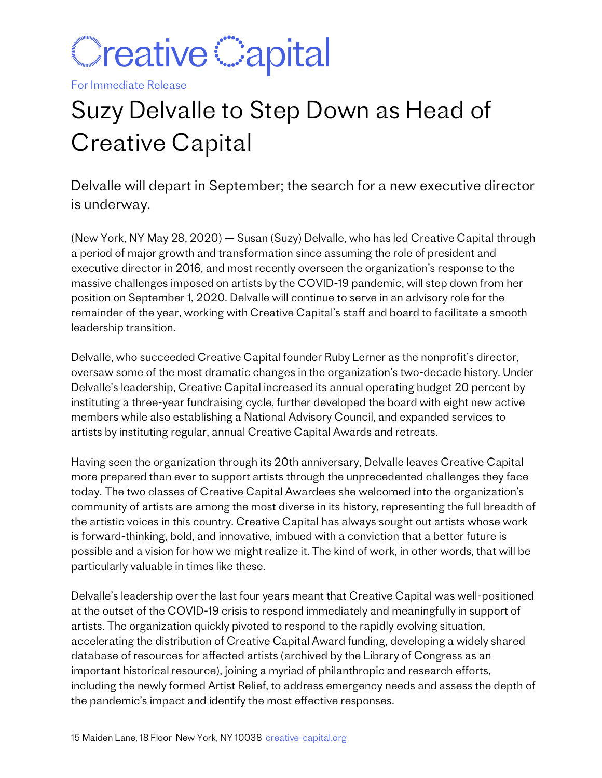

For Immediate Release

## Suzy Delvalle to Step Down as Head of Creative Capital

Delvalle will depart in September; the search for a new executive director is underway.

(New York, NY May 28, 2020) — Susan (Suzy) Delvalle, who has led Creative Capital through a period of major growth and transformation since assuming the role of president and executive director in 2016, and most recently overseen the organization's response to the massive challenges imposed on artists by the COVID-19 pandemic, will step down from her position on September 1, 2020. Delvalle will continue to serve in an advisory role for the remainder of the year, working with Creative Capital's staff and board to facilitate a smooth leadership transition.

Delvalle, who succeeded Creative Capital founder Ruby Lerner as the nonprofit's director, oversaw some of the most dramatic changes in the organization's two-decade history. Under Delvalle's leadership, Creative Capital increased its annual operating budget 20 percent by instituting a three-year fundraising cycle, further developed the board with eight new active members while also establishing a National Advisory Council, and expanded services to artists by instituting regular, annual Creative Capital Awards and retreats.

Having seen the organization through its 20th anniversary, Delvalle leaves Creative Capital more prepared than ever to support artists through the unprecedented challenges they face today. The two classes of Creative Capital Awardees she welcomed into the organization's community of artists are among the most diverse in its history, representing the full breadth of the artistic voices in this country. Creative Capital has always sought out artists whose work is forward-thinking, bold, and innovative, imbued with a conviction that a better future is possible and a vision for how we might realize it. The kind of work, in other words, that will be particularly valuable in times like these.

Delvalle's leadership over the last four years meant that Creative Capital was well-positioned at the outset of the COVID-19 crisis to respond immediately and meaningfully in support of artists. The organization quickly pivoted to respond to the rapidly evolving situation, accelerating the distribution of Creative Capital Award funding, developing a widely shared database of resources for affected artists (archived by the Library of Congress as an important historical resource), joining a myriad of philanthropic and research efforts, including the newly formed Artist Relief, to address emergency needs and assess the depth of the pandemic's impact and identify the most effective responses.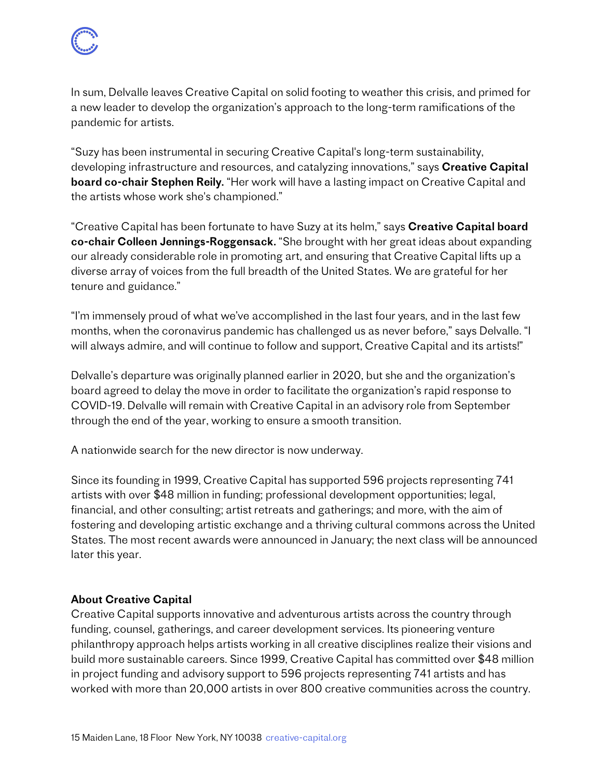In sum, Delvalle leaves Creative Capital on solid footing to weather this crisis, and primed for a new leader to develop the organization's approach to the long-term ramifications of the pandemic for artists.

"Suzy has been instrumental in securing Creative Capital's long-term sustainability, developing infrastructure and resources, and catalyzing innovations," says Creative Capital board co-chair Stephen Reily. "Her work will have a lasting impact on Creative Capital and the artists whose work she's championed."

"Creative Capital has been fortunate to have Suzy at its helm," says Creative Capital board co-chair Colleen Jennings-Roggensack. "She brought with her great ideas about expanding our already considerable role in promoting art, and ensuring that Creative Capital lifts up a diverse array of voices from the full breadth of the United States. We are grateful for her tenure and guidance."

"I'm immensely proud of what we've accomplished in the last four years, and in the last few months, when the coronavirus pandemic has challenged us as never before," says Delvalle. "I will always admire, and will continue to follow and support, Creative Capital and its artists!"

Delvalle's departure was originally planned earlier in 2020, but she and the organization's board agreed to delay the move in order to facilitate the organization's rapid response to COVID-19. Delvalle will remain with Creative Capital in an advisory role from September through the end of the year, working to ensure a smooth transition.

A nationwide search for the new director is now underway.

Since its founding in 1999, Creative Capital has supported 596 projects representing 741 artists with over \$48 million in funding; professional development opportunities; legal, financial, and other consulting; artist retreats and gatherings; and more, with the aim of fostering and developing artistic exchange and a thriving cultural commons across the United States. The most recent awards were announced in January; the next class will be announced later this year.

## About Creative Capital

Creative Capital supports innovative and adventurous artists across the country through funding, counsel, gatherings, and career development services. Its pioneering venture philanthropy approach helps artists working in all creative disciplines realize their visions and build more sustainable careers. Since 1999, Creative Capital has committed over \$48 million in project funding and advisory support to 596 projects representing 741 artists and has worked with more than 20,000 artists in over 800 creative communities across the country.